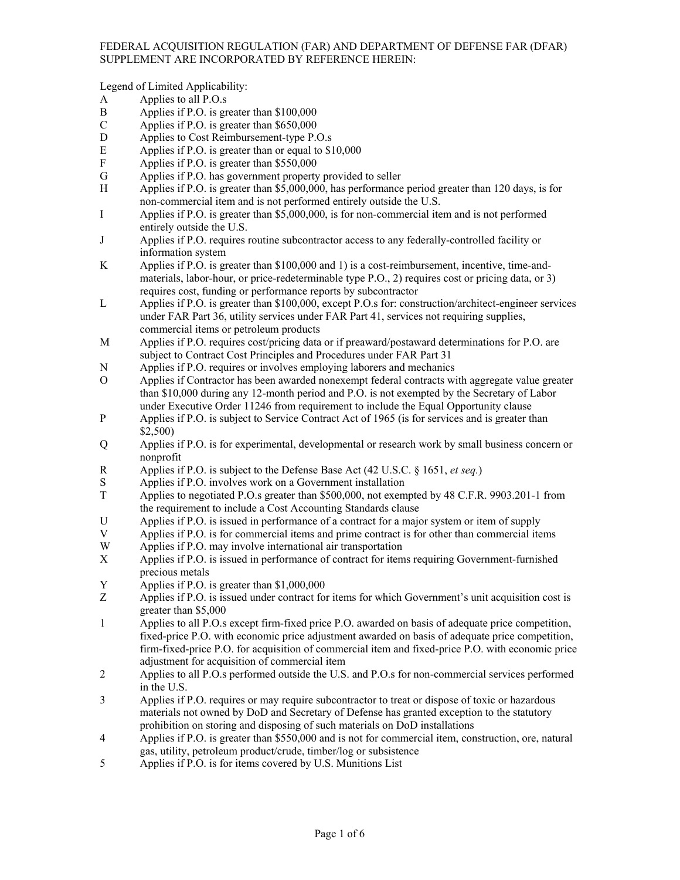Legend of Limited Applicability:

- A Applies to all P.O.s
- B Applies if P.O. is greater than \$100,000
- C Applies if P.O. is greater than \$650,000
- D Applies to Cost Reimbursement-type P.O.s
- E Applies if P.O. is greater than or equal to \$10,000
- F Applies if P.O. is greater than \$550,000
- G Applies if P.O. has government property provided to seller
- H Applies if P.O. is greater than \$5,000,000, has performance period greater than 120 days, is for non-commercial item and is not performed entirely outside the U.S.
- I Applies if P.O. is greater than \$5,000,000, is for non-commercial item and is not performed entirely outside the U.S.
- J Applies if P.O. requires routine subcontractor access to any federally-controlled facility or information system
- K Applies if P.O. is greater than \$100,000 and 1) is a cost-reimbursement, incentive, time-andmaterials, labor-hour, or price-redeterminable type P.O., 2) requires cost or pricing data, or 3) requires cost, funding or performance reports by subcontractor
- L Applies if P.O. is greater than \$100,000, except P.O.s for: construction/architect-engineer services under FAR Part 36, utility services under FAR Part 41, services not requiring supplies, commercial items or petroleum products
- M Applies if P.O. requires cost/pricing data or if preaward/postaward determinations for P.O. are subject to Contract Cost Principles and Procedures under FAR Part 31
- N Applies if P.O. requires or involves employing laborers and mechanics
- O Applies if Contractor has been awarded nonexempt federal contracts with aggregate value greater than \$10,000 during any 12-month period and P.O. is not exempted by the Secretary of Labor under Executive Order 11246 from requirement to include the Equal Opportunity clause
- P Applies if P.O. is subject to Service Contract Act of 1965 (is for services and is greater than \$2,500)
- Q Applies if P.O. is for experimental, developmental or research work by small business concern or nonprofit
- R Applies if P.O. is subject to the Defense Base Act (42 U.S.C. § 1651, *et seq.*)
- S Applies if P.O. involves work on a Government installation<br>T Applies to negotiated P.O.s greater than \$500.000, not exem
- Applies to negotiated P.O.s greater than \$500,000, not exempted by 48 C.F.R. 9903.201-1 from the requirement to include a Cost Accounting Standards clause
- U Applies if P.O. is issued in performance of a contract for a major system or item of supply
- V Applies if P.O. is for commercial items and prime contract is for other than commercial items
- W Applies if P.O. may involve international air transportation
- X Applies if P.O. is issued in performance of contract for items requiring Government-furnished precious metals
- Y Applies if P.O. is greater than \$1,000,000
- Z Applies if P.O. is issued under contract for items for which Government's unit acquisition cost is greater than \$5,000
- 1 Applies to all P.O.s except firm-fixed price P.O. awarded on basis of adequate price competition, fixed-price P.O. with economic price adjustment awarded on basis of adequate price competition, firm-fixed-price P.O. for acquisition of commercial item and fixed-price P.O. with economic price adjustment for acquisition of commercial item
- 2 Applies to all P.O.s performed outside the U.S. and P.O.s for non-commercial services performed in the U.S.
- 3 Applies if P.O. requires or may require subcontractor to treat or dispose of toxic or hazardous materials not owned by DoD and Secretary of Defense has granted exception to the statutory prohibition on storing and disposing of such materials on DoD installations
- 4 Applies if P.O. is greater than \$550,000 and is not for commercial item, construction, ore, natural gas, utility, petroleum product/crude, timber/log or subsistence
- 5 Applies if P.O. is for items covered by U.S. Munitions List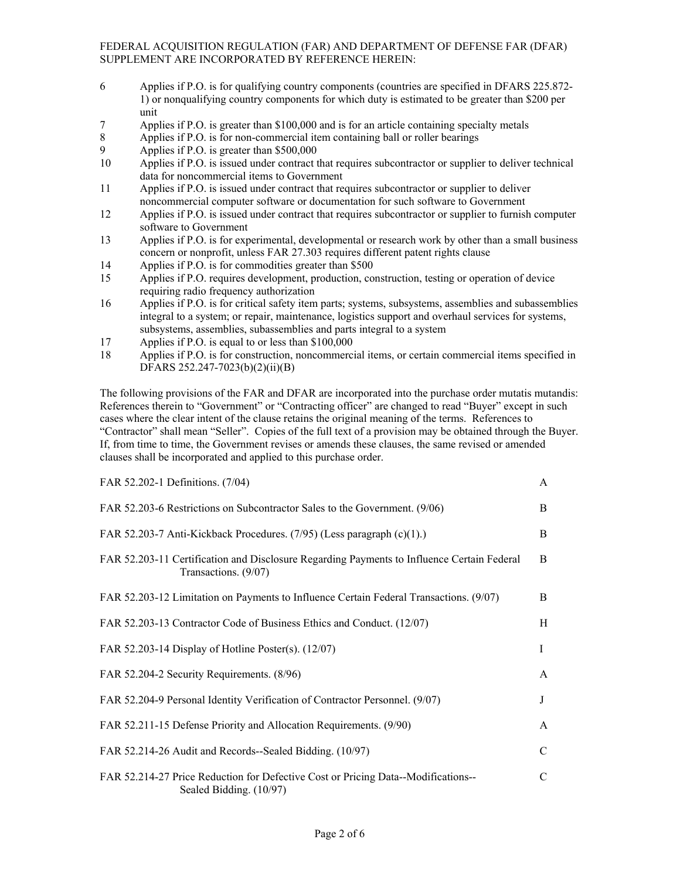- 6 Applies if P.O. is for qualifying country components (countries are specified in DFARS 225.872- 1) or nonqualifying country components for which duty is estimated to be greater than \$200 per unit
- 7 Applies if P.O. is greater than \$100,000 and is for an article containing specialty metals
- 8 Applies if P.O. is for non-commercial item containing ball or roller bearings
- 9 Applies if P.O. is greater than \$500,000
- 10 Applies if P.O. is issued under contract that requires subcontractor or supplier to deliver technical data for noncommercial items to Government
- 11 Applies if P.O. is issued under contract that requires subcontractor or supplier to deliver noncommercial computer software or documentation for such software to Government
- 12 Applies if P.O. is issued under contract that requires subcontractor or supplier to furnish computer software to Government
- 13 Applies if P.O. is for experimental, developmental or research work by other than a small business concern or nonprofit, unless FAR 27.303 requires different patent rights clause
- 14 Applies if P.O. is for commodities greater than \$500
- 15 Applies if P.O. requires development, production, construction, testing or operation of device requiring radio frequency authorization
- 16 Applies if P.O. is for critical safety item parts; systems, subsystems, assemblies and subassemblies integral to a system; or repair, maintenance, logistics support and overhaul services for systems, subsystems, assemblies, subassemblies and parts integral to a system
- 17 Applies if P.O. is equal to or less than \$100,000
- 18 Applies if P.O. is for construction, noncommercial items, or certain commercial items specified in DFARS 252.247-7023(b)(2)(ii)(B)

The following provisions of the FAR and DFAR are incorporated into the purchase order mutatis mutandis: References therein to "Government" or "Contracting officer" are changed to read "Buyer" except in such cases where the clear intent of the clause retains the original meaning of the terms. References to "Contractor" shall mean "Seller". Copies of the full text of a provision may be obtained through the Buyer. If, from time to time, the Government revises or amends these clauses, the same revised or amended clauses shall be incorporated and applied to this purchase order.

| FAR 52.202-1 Definitions. (7/04)                                                                                   | $\mathsf{A}$  |
|--------------------------------------------------------------------------------------------------------------------|---------------|
| FAR 52.203-6 Restrictions on Subcontractor Sales to the Government. (9/06)                                         | B.            |
| FAR 52.203-7 Anti-Kickback Procedures. (7/95) (Less paragraph (c)(1).)                                             | B.            |
| FAR 52.203-11 Certification and Disclosure Regarding Payments to Influence Certain Federal<br>Transactions. (9/07) | B.            |
| FAR 52.203-12 Limitation on Payments to Influence Certain Federal Transactions. (9/07)                             | B.            |
| FAR 52.203-13 Contractor Code of Business Ethics and Conduct. (12/07)                                              | H             |
| FAR 52.203-14 Display of Hotline Poster(s). $(12/07)$                                                              | Ι             |
| FAR 52.204-2 Security Requirements. (8/96)                                                                         | A             |
| FAR 52.204-9 Personal Identity Verification of Contractor Personnel. (9/07)                                        | J             |
| FAR 52.211-15 Defense Priority and Allocation Requirements. (9/90)                                                 | A             |
| FAR 52.214-26 Audit and Records--Sealed Bidding. (10/97)                                                           | $\mathcal{C}$ |
| FAR 52.214-27 Price Reduction for Defective Cost or Pricing Data--Modifications--<br>Sealed Bidding. (10/97)       | C             |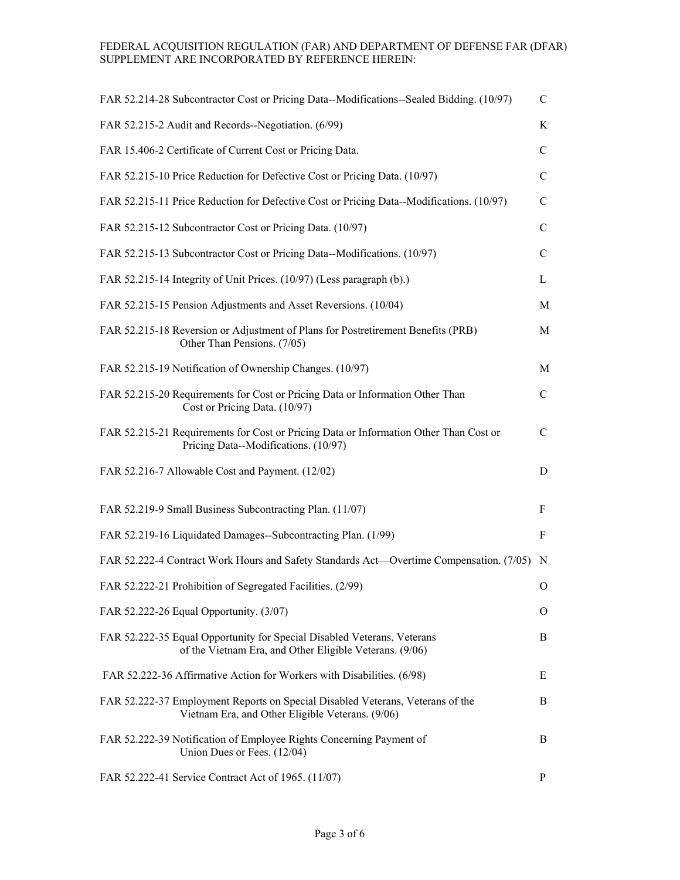| FAR 52.214-28 Subcontractor Cost or Pricing Data--Modifications--Sealed Bidding. (10/97)                                           | $\mathcal{C}$ |
|------------------------------------------------------------------------------------------------------------------------------------|---------------|
| FAR 52.215-2 Audit and Records--Negotiation. (6/99)                                                                                | K             |
| FAR 15.406-2 Certificate of Current Cost or Pricing Data.                                                                          | C             |
| FAR 52.215-10 Price Reduction for Defective Cost or Pricing Data. (10/97)                                                          | $\mathcal{C}$ |
| FAR 52.215-11 Price Reduction for Defective Cost or Pricing Data--Modifications. (10/97)                                           | $\mathbf C$   |
| FAR 52.215-12 Subcontractor Cost or Pricing Data. (10/97)                                                                          | $\mathsf{C}$  |
| FAR 52.215-13 Subcontractor Cost or Pricing Data--Modifications. (10/97)                                                           | $\mathcal{C}$ |
| FAR 52.215-14 Integrity of Unit Prices. (10/97) (Less paragraph (b).)                                                              | L             |
| FAR 52.215-15 Pension Adjustments and Asset Reversions. (10/04)                                                                    | M             |
| FAR 52.215-18 Reversion or Adjustment of Plans for Postretirement Benefits (PRB)<br>Other Than Pensions. (7/05)                    | M             |
| FAR 52.215-19 Notification of Ownership Changes. (10/97)                                                                           | M             |
| FAR 52.215-20 Requirements for Cost or Pricing Data or Information Other Than<br>Cost or Pricing Data. (10/97)                     | $\mathsf{C}$  |
| FAR 52.215-21 Requirements for Cost or Pricing Data or Information Other Than Cost or<br>Pricing Data--Modifications. (10/97)      | $\mathcal{C}$ |
| FAR 52.216-7 Allowable Cost and Payment. (12/02)                                                                                   | D             |
| FAR 52.219-9 Small Business Subcontracting Plan. (11/07)                                                                           | F             |
| FAR 52.219-16 Liquidated Damages--Subcontracting Plan. (1/99)                                                                      | F             |
| FAR 52.222-4 Contract Work Hours and Safety Standards Act—Overtime Compensation. (7/05)                                            | N             |
| FAR 52.222-21 Prohibition of Segregated Facilities. (2/99)                                                                         | 0             |
| FAR 52.222-26 Equal Opportunity. (3/07)                                                                                            | O             |
| FAR 52.222-35 Equal Opportunity for Special Disabled Veterans, Veterans<br>of the Vietnam Era, and Other Eligible Veterans. (9/06) | B             |
| FAR 52.222-36 Affirmative Action for Workers with Disabilities. (6/98)                                                             | Е             |
| FAR 52.222-37 Employment Reports on Special Disabled Veterans, Veterans of the<br>Vietnam Era, and Other Eligible Veterans. (9/06) | B             |
| FAR 52.222-39 Notification of Employee Rights Concerning Payment of<br>Union Dues or Fees. (12/04)                                 | B             |
| FAR 52.222-41 Service Contract Act of 1965. (11/07)                                                                                | P             |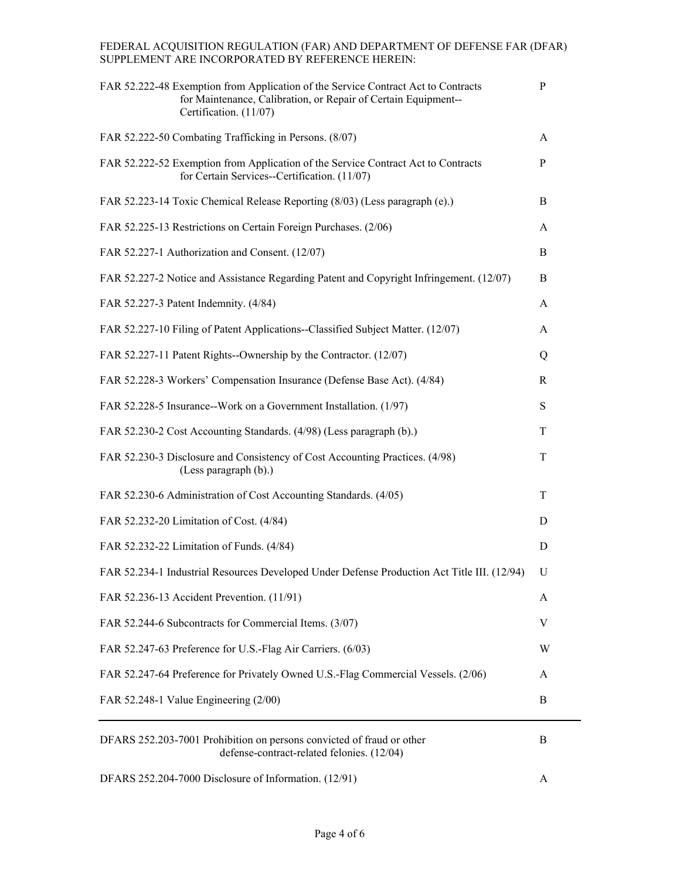| FAR 52.222-48 Exemption from Application of the Service Contract Act to Contracts<br>for Maintenance, Calibration, or Repair of Certain Equipment--<br>Certification. (11/07) | P |
|-------------------------------------------------------------------------------------------------------------------------------------------------------------------------------|---|
| FAR 52.222-50 Combating Trafficking in Persons. (8/07)                                                                                                                        | A |
| FAR 52.222-52 Exemption from Application of the Service Contract Act to Contracts<br>for Certain Services--Certification. (11/07)                                             | P |
| FAR 52.223-14 Toxic Chemical Release Reporting (8/03) (Less paragraph (e).)                                                                                                   | B |
| FAR 52.225-13 Restrictions on Certain Foreign Purchases. (2/06)                                                                                                               | A |
| FAR 52.227-1 Authorization and Consent. (12/07)                                                                                                                               | B |
| FAR 52.227-2 Notice and Assistance Regarding Patent and Copyright Infringement. (12/07)                                                                                       | B |
| FAR 52.227-3 Patent Indemnity. (4/84)                                                                                                                                         | A |
| FAR 52.227-10 Filing of Patent Applications--Classified Subject Matter. (12/07)                                                                                               | A |
| FAR 52.227-11 Patent Rights--Ownership by the Contractor. (12/07)                                                                                                             | Q |
| FAR 52.228-3 Workers' Compensation Insurance (Defense Base Act). (4/84)                                                                                                       | R |
| FAR 52.228-5 Insurance--Work on a Government Installation. (1/97)                                                                                                             | S |
| FAR 52.230-2 Cost Accounting Standards. (4/98) (Less paragraph (b).)                                                                                                          | T |
| FAR 52.230-3 Disclosure and Consistency of Cost Accounting Practices. (4/98)<br>(Less paragraph (b).)                                                                         | T |
| FAR 52.230-6 Administration of Cost Accounting Standards. (4/05)                                                                                                              | T |
| FAR 52.232-20 Limitation of Cost. (4/84)                                                                                                                                      | D |
| FAR 52.232-22 Limitation of Funds. (4/84)                                                                                                                                     | D |
| FAR 52.234-1 Industrial Resources Developed Under Defense Production Act Title III. (12/94)                                                                                   | U |
| FAR 52.236-13 Accident Prevention. (11/91)                                                                                                                                    | A |
| FAR 52.244-6 Subcontracts for Commercial Items. (3/07)                                                                                                                        | V |
| FAR 52.247-63 Preference for U.S.-Flag Air Carriers. (6/03)                                                                                                                   | W |
| FAR 52.247-64 Preference for Privately Owned U.S.-Flag Commercial Vessels. (2/06)                                                                                             | A |
| FAR 52.248-1 Value Engineering (2/00)                                                                                                                                         | B |
| DFARS 252.203-7001 Prohibition on persons convicted of fraud or other<br>defense-contract-related felonies. (12/04)                                                           | B |
| DFARS 252.204-7000 Disclosure of Information. (12/91)                                                                                                                         | Α |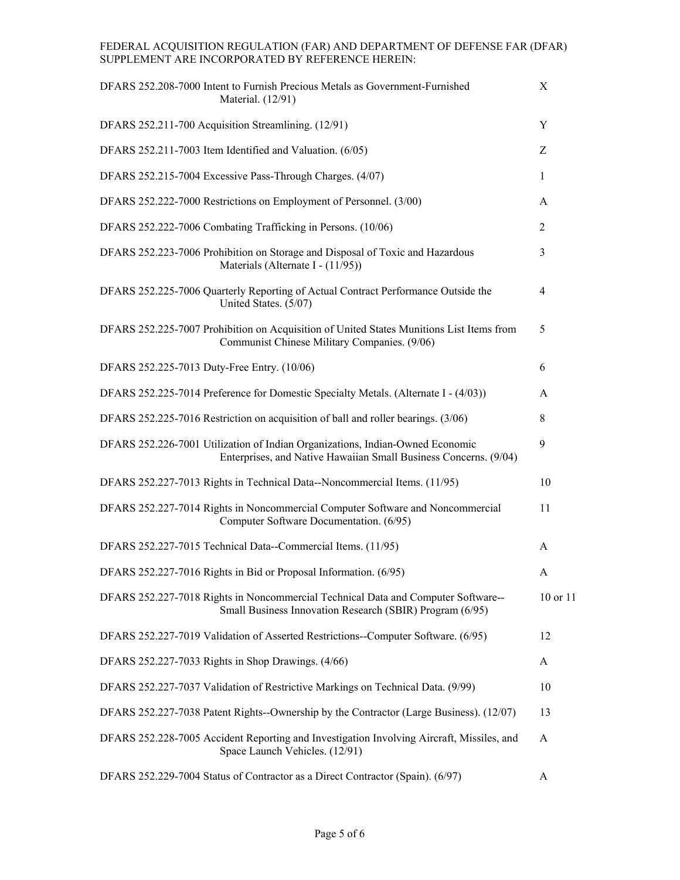| DFARS 252.208-7000 Intent to Furnish Precious Metals as Government-Furnished<br>Material. (12/91)                                                 | X            |
|---------------------------------------------------------------------------------------------------------------------------------------------------|--------------|
| DFARS 252.211-700 Acquisition Streamlining. (12/91)                                                                                               | Y            |
| DFARS 252.211-7003 Item Identified and Valuation. (6/05)                                                                                          | Ζ            |
| DFARS 252.215-7004 Excessive Pass-Through Charges. (4/07)                                                                                         | $\mathbf{1}$ |
| DFARS 252.222-7000 Restrictions on Employment of Personnel. (3/00)                                                                                | A            |
| DFARS 252.222-7006 Combating Trafficking in Persons. (10/06)                                                                                      | 2            |
| DFARS 252.223-7006 Prohibition on Storage and Disposal of Toxic and Hazardous<br>Materials (Alternate I - (11/95))                                | 3            |
| DFARS 252.225-7006 Quarterly Reporting of Actual Contract Performance Outside the<br>United States. (5/07)                                        | 4            |
| DFARS 252.225-7007 Prohibition on Acquisition of United States Munitions List Items from<br>Communist Chinese Military Companies. (9/06)          | 5            |
| DFARS 252.225-7013 Duty-Free Entry. (10/06)                                                                                                       | 6            |
| DFARS 252.225-7014 Preference for Domestic Specialty Metals. (Alternate I - (4/03))                                                               | A            |
| DFARS 252.225-7016 Restriction on acquisition of ball and roller bearings. (3/06)                                                                 | 8            |
| DFARS 252.226-7001 Utilization of Indian Organizations, Indian-Owned Economic<br>Enterprises, and Native Hawaiian Small Business Concerns. (9/04) | 9            |
| DFARS 252.227-7013 Rights in Technical Data--Noncommercial Items. (11/95)                                                                         | 10           |
| DFARS 252.227-7014 Rights in Noncommercial Computer Software and Noncommercial<br>Computer Software Documentation. (6/95)                         | 11           |
| DFARS 252.227-7015 Technical Data--Commercial Items. (11/95)                                                                                      | A            |
| DFARS 252.227-7016 Rights in Bid or Proposal Information. (6/95)                                                                                  | A            |
| DFARS 252.227-7018 Rights in Noncommercial Technical Data and Computer Software--<br>Small Business Innovation Research (SBIR) Program (6/95)     | 10 or 11     |
| DFARS 252.227-7019 Validation of Asserted Restrictions--Computer Software. (6/95)                                                                 | 12           |
| DFARS 252.227-7033 Rights in Shop Drawings. (4/66)                                                                                                | A            |
| DFARS 252.227-7037 Validation of Restrictive Markings on Technical Data. (9/99)                                                                   | 10           |
| DFARS 252.227-7038 Patent Rights--Ownership by the Contractor (Large Business). (12/07)                                                           | 13           |
| DFARS 252.228-7005 Accident Reporting and Investigation Involving Aircraft, Missiles, and<br>Space Launch Vehicles. (12/91)                       | A            |
| DFARS 252.229-7004 Status of Contractor as a Direct Contractor (Spain). (6/97)                                                                    | A            |